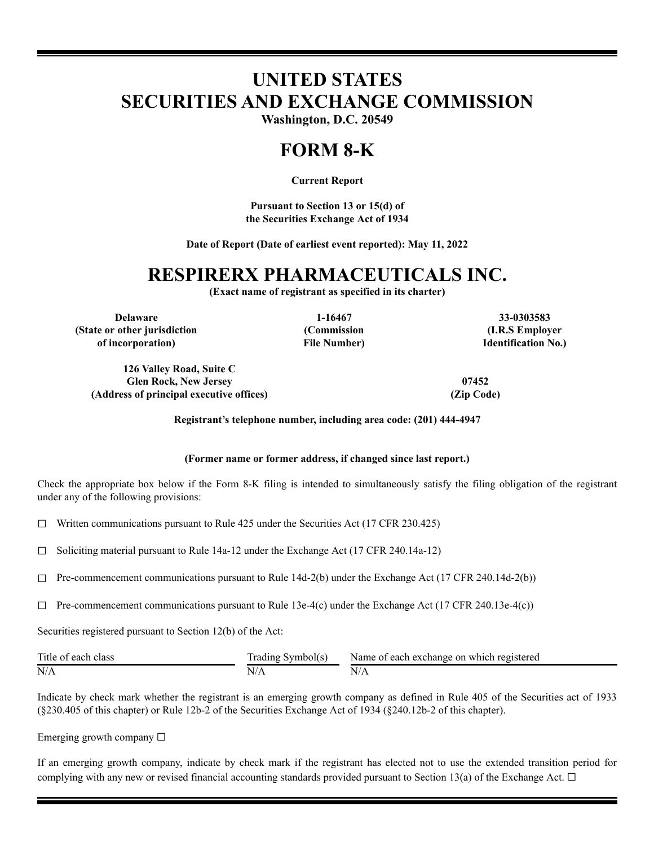# **UNITED STATES SECURITIES AND EXCHANGE COMMISSION**

**Washington, D.C. 20549**

## **FORM 8-K**

**Current Report**

**Pursuant to Section 13 or 15(d) of the Securities Exchange Act of 1934**

**Date of Report (Date of earliest event reported): May 11, 2022**

### **RESPIRERX PHARMACEUTICALS INC.**

**(Exact name of registrant as specified in its charter)**

**(Commission File Number)**

**Delaware 1-16467 33-0303583 (State or other jurisdiction of incorporation)**

**126 Valley Road, Suite C Glen Rock, New Jersey 07452 (Address of principal executive offices) (Zip Code)**

**(I.R.S Employer Identification No.)**

**Registrant's telephone number, including area code: (201) 444-4947**

#### **(Former name or former address, if changed since last report.)**

Check the appropriate box below if the Form 8-K filing is intended to simultaneously satisfy the filing obligation of the registrant under any of the following provisions:

☐ Written communications pursuant to Rule 425 under the Securities Act (17 CFR 230.425)

☐ Soliciting material pursuant to Rule 14a-12 under the Exchange Act (17 CFR 240.14a-12)

 $\Box$  Pre-commencement communications pursuant to Rule 14d-2(b) under the Exchange Act (17 CFR 240.14d-2(b))

 $\Box$  Pre-commencement communications pursuant to Rule 13e-4(c) under the Exchange Act (17 CFR 240.13e-4(c))

Securities registered pursuant to Section 12(b) of the Act:

| Title of each<br>class | frading Symbol(s) | Name of each exchange on which registered |
|------------------------|-------------------|-------------------------------------------|
| N/A                    |                   | N/r                                       |

Indicate by check mark whether the registrant is an emerging growth company as defined in Rule 405 of the Securities act of 1933 (§230.405 of this chapter) or Rule 12b-2 of the Securities Exchange Act of 1934 (§240.12b-2 of this chapter).

Emerging growth company  $\Box$ 

If an emerging growth company, indicate by check mark if the registrant has elected not to use the extended transition period for complying with any new or revised financial accounting standards provided pursuant to Section 13(a) of the Exchange Act.  $\Box$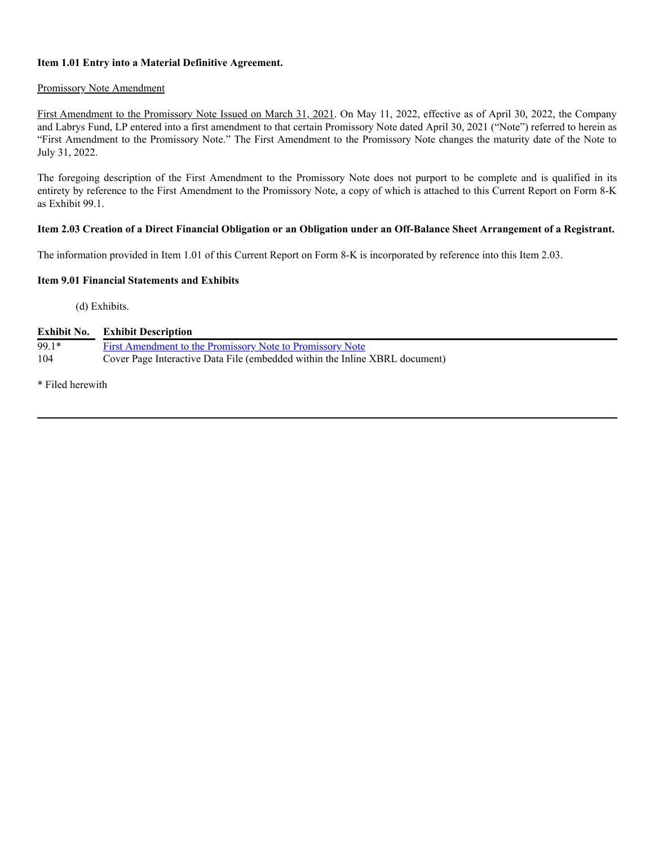#### **Item 1.01 Entry into a Material Definitive Agreement.**

#### Promissory Note Amendment

First Amendment to the Promissory Note Issued on March 31, 2021. On May 11, 2022, effective as of April 30, 2022, the Company and Labrys Fund, LP entered into a first amendment to that certain Promissory Note dated April 30, 2021 ("Note") referred to herein as "First Amendment to the Promissory Note." The First Amendment to the Promissory Note changes the maturity date of the Note to July 31, 2022.

The foregoing description of the First Amendment to the Promissory Note does not purport to be complete and is qualified in its entirety by reference to the First Amendment to the Promissory Note, a copy of which is attached to this Current Report on Form 8-K as Exhibit 99.1.

#### Item 2.03 Creation of a Direct Financial Obligation or an Obligation under an Off-Balance Sheet Arrangement of a Registrant.

The information provided in Item 1.01 of this Current Report on Form 8-K is incorporated by reference into this Item 2.03.

#### **Item 9.01 Financial Statements and Exhibits**

(d) Exhibits.

| $99.1*$ | First Amendment to the Promissory Note to Promissory Note                   |
|---------|-----------------------------------------------------------------------------|
| 104     | Cover Page Interactive Data File (embedded within the Inline XBRL document) |

\* Filed herewith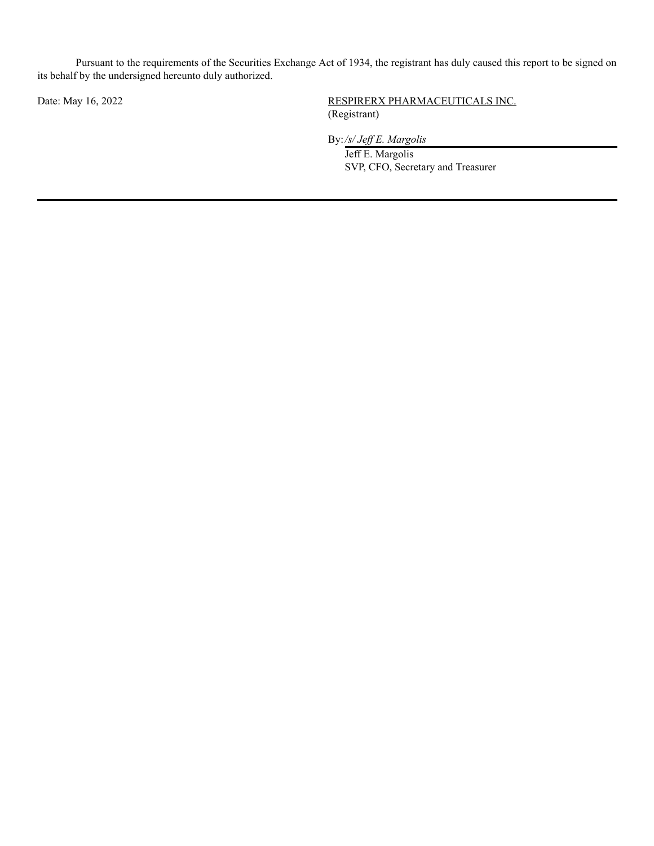Pursuant to the requirements of the Securities Exchange Act of 1934, the registrant has duly caused this report to be signed on its behalf by the undersigned hereunto duly authorized.

### Date: May 16, 2022 RESPIRERX PHARMACEUTICALS INC. (Registrant)

By:*/s/ Jef E. Margolis*

Jeff E. Margolis SVP, CFO, Secretary and Treasurer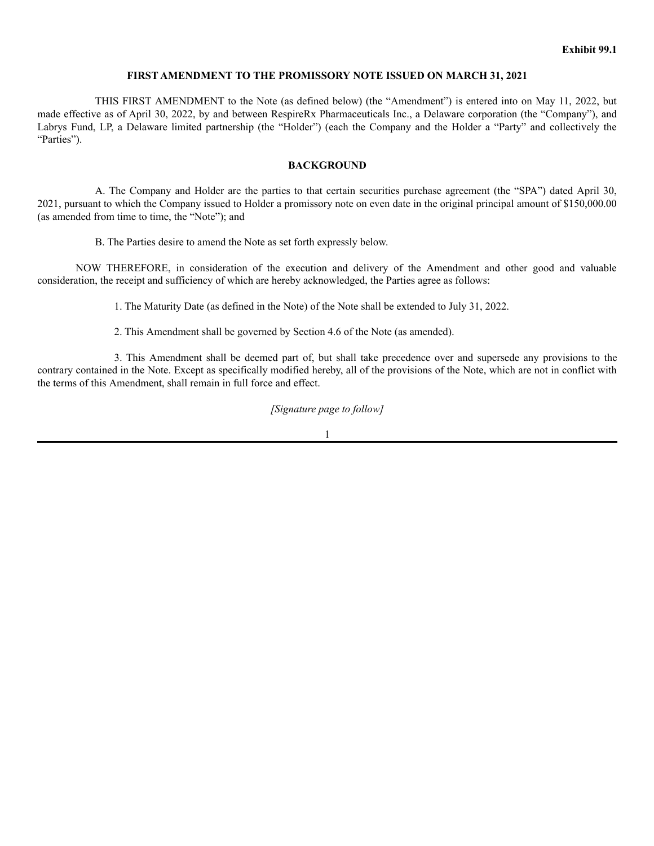#### **FIRST AMENDMENT TO THE PROMISSORY NOTE ISSUED ON MARCH 31, 2021**

THIS FIRST AMENDMENT to the Note (as defined below) (the "Amendment") is entered into on May 11, 2022, but made effective as of April 30, 2022, by and between RespireRx Pharmaceuticals Inc., a Delaware corporation (the "Company"), and Labrys Fund, LP, a Delaware limited partnership (the "Holder") (each the Company and the Holder a "Party" and collectively the "Parties").

#### **BACKGROUND**

A. The Company and Holder are the parties to that certain securities purchase agreement (the "SPA") dated April 30, 2021, pursuant to which the Company issued to Holder a promissory note on even date in the original principal amount of \$150,000.00 (as amended from time to time, the "Note"); and

B. The Parties desire to amend the Note as set forth expressly below.

NOW THEREFORE, in consideration of the execution and delivery of the Amendment and other good and valuable consideration, the receipt and sufficiency of which are hereby acknowledged, the Parties agree as follows:

1. The Maturity Date (as defined in the Note) of the Note shall be extended to July 31, 2022.

2. This Amendment shall be governed by Section 4.6 of the Note (as amended).

3. This Amendment shall be deemed part of, but shall take precedence over and supersede any provisions to the contrary contained in the Note. Except as specifically modified hereby, all of the provisions of the Note, which are not in conflict with the terms of this Amendment, shall remain in full force and effect.

#### *[Signature page to follow]*

1